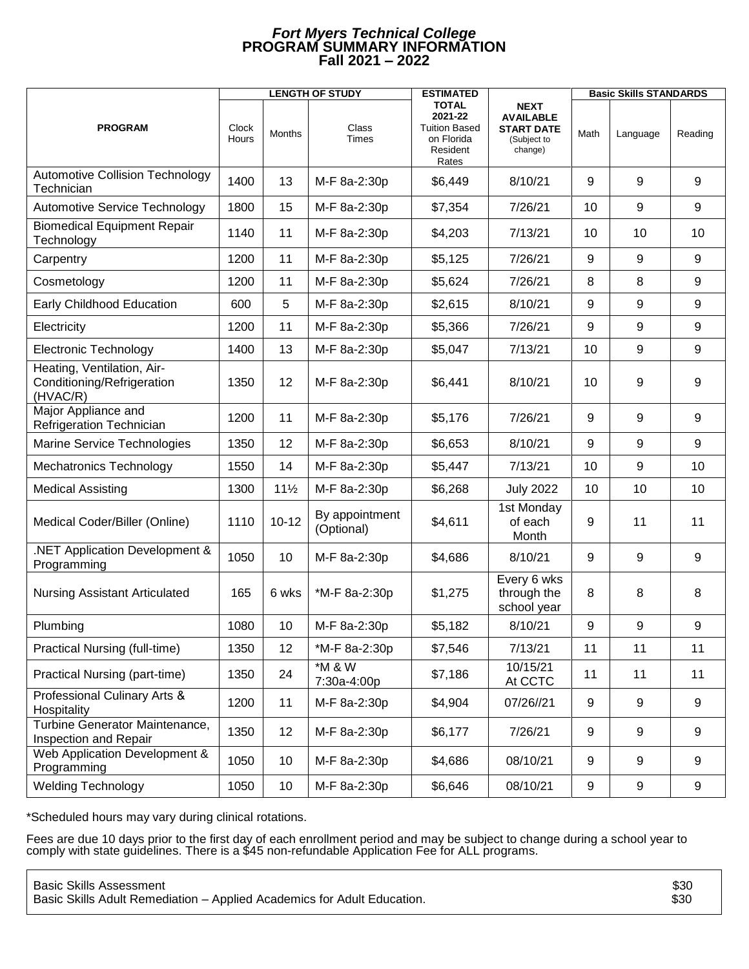## *Fort Myers Technical College* **PROGRAM SUMMARY INFORMATION Fall 2021 – 2022**

|                                                                      | <b>LENGTH OF STUDY</b> |                 |                              | <b>ESTIMATED</b>                                                                   |                                                                                | <b>Basic Skills STANDARDS</b> |                  |                  |
|----------------------------------------------------------------------|------------------------|-----------------|------------------------------|------------------------------------------------------------------------------------|--------------------------------------------------------------------------------|-------------------------------|------------------|------------------|
| <b>PROGRAM</b>                                                       | Clock<br>Hours         | Months          | Class<br><b>Times</b>        | <b>TOTAL</b><br>2021-22<br><b>Tuition Based</b><br>on Florida<br>Resident<br>Rates | <b>NEXT</b><br><b>AVAILABLE</b><br><b>START DATE</b><br>(Subject to<br>change) | Math                          | Language         | Reading          |
| <b>Automotive Collision Technology</b><br>Technician                 | 1400                   | 13              | M-F 8a-2:30p                 | \$6,449                                                                            | 8/10/21                                                                        | 9                             | 9                | 9                |
| <b>Automotive Service Technology</b>                                 | 1800                   | 15              | M-F 8a-2:30p                 | \$7,354                                                                            | 7/26/21                                                                        | 10                            | 9                | $9\,$            |
| <b>Biomedical Equipment Repair</b><br>Technology                     | 1140                   | 11              | M-F 8a-2:30p                 | \$4,203                                                                            | 7/13/21                                                                        | 10                            | 10               | 10               |
| Carpentry                                                            | 1200                   | 11              | M-F 8a-2:30p                 | \$5,125                                                                            | 7/26/21                                                                        | 9                             | 9                | 9                |
| Cosmetology                                                          | 1200                   | 11              | M-F 8a-2:30p                 | \$5,624                                                                            | 7/26/21                                                                        | 8                             | 8                | 9                |
| Early Childhood Education                                            | 600                    | 5               | M-F 8a-2:30p                 | \$2,615                                                                            | 8/10/21                                                                        | 9                             | 9                | 9                |
| Electricity                                                          | 1200                   | 11              | M-F 8a-2:30p                 | \$5,366                                                                            | 7/26/21                                                                        | 9                             | 9                | 9                |
| <b>Electronic Technology</b>                                         | 1400                   | 13              | M-F 8a-2:30p                 | \$5,047                                                                            | 7/13/21                                                                        | 10                            | 9                | 9                |
| Heating, Ventilation, Air-<br>Conditioning/Refrigeration<br>(HVAC/R) | 1350                   | 12              | M-F 8a-2:30p                 | \$6,441                                                                            | 8/10/21                                                                        | 10                            | 9                | 9                |
| Major Appliance and<br><b>Refrigeration Technician</b>               | 1200                   | 11              | M-F 8a-2:30p                 | \$5,176                                                                            | 7/26/21                                                                        | 9                             | 9                | 9                |
| Marine Service Technologies                                          | 1350                   | 12              | M-F 8a-2:30p                 | \$6,653                                                                            | 8/10/21                                                                        | 9                             | 9                | 9                |
| Mechatronics Technology                                              | 1550                   | 14              | M-F 8a-2:30p                 | \$5,447                                                                            | 7/13/21                                                                        | 10                            | 9                | 10               |
| <b>Medical Assisting</b>                                             | 1300                   | $11\frac{1}{2}$ | M-F 8a-2:30p                 | \$6,268                                                                            | <b>July 2022</b>                                                               | 10                            | 10               | 10               |
| Medical Coder/Biller (Online)                                        | 1110                   | $10 - 12$       | By appointment<br>(Optional) | \$4,611                                                                            | 1st Monday<br>of each<br>Month                                                 | 9                             | 11               | 11               |
| NET Application Development &<br>Programming                         | 1050                   | 10              | M-F 8a-2:30p                 | \$4,686                                                                            | 8/10/21                                                                        | 9                             | 9                | 9                |
| <b>Nursing Assistant Articulated</b>                                 | 165                    | 6 wks           | *M-F 8a-2:30p                | \$1,275                                                                            | Every 6 wks<br>through the<br>school year                                      | 8                             | 8                | 8                |
| Plumbing                                                             | 1080                   | 10              | M-F 8a-2:30p                 | \$5,182                                                                            | 8/10/21                                                                        | 9                             | 9                | 9                |
| Practical Nursing (full-time)                                        | 1350                   | 12              | *M-F 8a-2:30p                | \$7,546                                                                            | 7/13/21                                                                        | 11                            | 11               | 11               |
| Practical Nursing (part-time)                                        | 1350                   | 24              | *M & W<br>7:30a-4:00p        | \$7,186                                                                            | 10/15/21<br>At CCTC                                                            | 11                            | 11               | 11               |
| Professional Culinary Arts &<br>Hospitality                          | 1200                   | 11              | M-F 8a-2:30p                 | \$4,904                                                                            | 07/26//21                                                                      | 9                             | 9                | $\boldsymbol{9}$ |
| Turbine Generator Maintenance,<br><b>Inspection and Repair</b>       | 1350                   | 12              | M-F 8a-2:30p                 | \$6,177                                                                            | 7/26/21                                                                        | 9                             | $\boldsymbol{9}$ | $\boldsymbol{9}$ |
| Web Application Development &<br>Programming                         | 1050                   | 10              | M-F 8a-2:30p                 | \$4,686                                                                            | 08/10/21                                                                       | 9                             | 9                | 9                |
| <b>Welding Technology</b>                                            | 1050                   | 10              | M-F 8a-2:30p                 | \$6,646                                                                            | 08/10/21                                                                       | 9                             | 9                | 9                |

\*Scheduled hours may vary during clinical rotations.

Fees are due 10 days prior to the first day of each enrollment period and may be subject to change during a school year to comply with state guidelines. There is a \$45 non-refundable Application Fee for ALL programs.

| <b>Basic Skills Assessment</b>                                          | \$30 |
|-------------------------------------------------------------------------|------|
| Basic Skills Adult Remediation - Applied Academics for Adult Education. | \$30 |